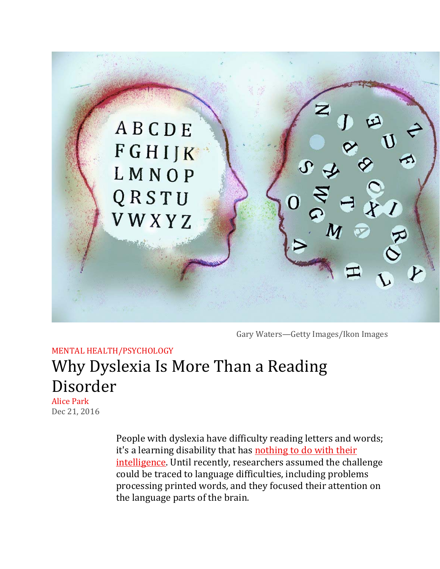

Gary Waters-Getty Images/Ikon Images

## MENTAL HEALTH/PSYCHOLOGY Why Dyslexia Is More Than a Reading Disorder **Alice Park**

Dec 21, 2016

People with dyslexia have difficulty reading letters and words; it's a learning disability that has nothing to do with their intelligence. Until recently, researchers assumed the challenge could be traced to language difficulties, including problems processing printed words, and they focused their attention on the language parts of the brain.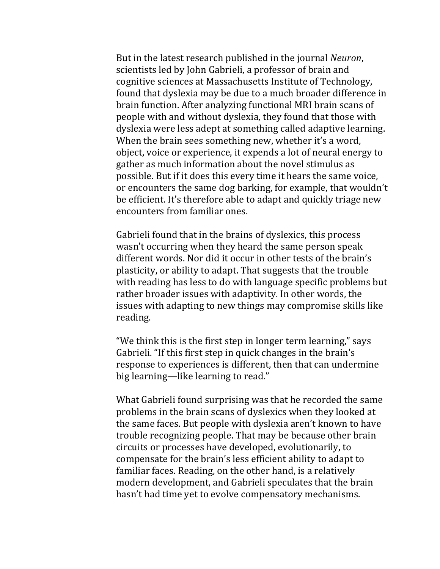But in the latest research published in the journal *Neuron*, scientists led by John Gabrieli, a professor of brain and cognitive sciences at Massachusetts Institute of Technology, found that dyslexia may be due to a much broader difference in brain function. After analyzing functional MRI brain scans of people with and without dyslexia, they found that those with dyslexia were less adept at something called adaptive learning. When the brain sees something new, whether it's a word, object, voice or experience, it expends a lot of neural energy to gather as much information about the novel stimulus as possible. But if it does this every time it hears the same voice, or encounters the same dog barking, for example, that wouldn't be efficient. It's therefore able to adapt and quickly triage new encounters from familiar ones.

Gabrieli found that in the brains of dyslexics, this process wasn't occurring when they heard the same person speak different words. Nor did it occur in other tests of the brain's plasticity, or ability to adapt. That suggests that the trouble with reading has less to do with language specific problems but rather broader issues with adaptivity. In other words, the issues with adapting to new things may compromise skills like reading. 

"We think this is the first step in longer term learning," says Gabrieli. "If this first step in quick changes in the brain's response to experiences is different, then that can undermine big learning—like learning to read."

What Gabrieli found surprising was that he recorded the same problems in the brain scans of dyslexics when they looked at the same faces. But people with dyslexia aren't known to have trouble recognizing people. That may be because other brain circuits or processes have developed, evolutionarily, to compensate for the brain's less efficient ability to adapt to familiar faces. Reading, on the other hand, is a relatively modern development, and Gabrieli speculates that the brain hasn't had time yet to evolve compensatory mechanisms.